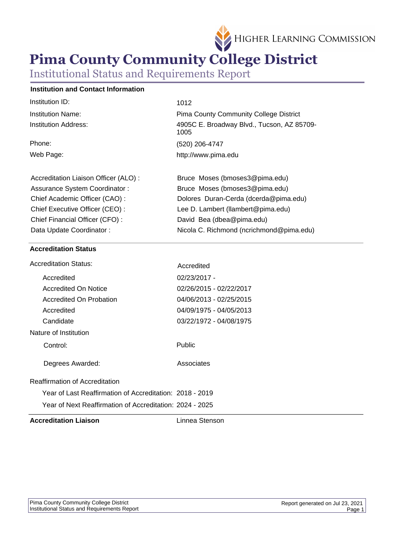

# **Pima County Community College District**

Institutional Status and Requirements Report

# **Institution and Contact Information**

| Institution ID:                      | 1012                                               |
|--------------------------------------|----------------------------------------------------|
| Institution Name:                    | <b>Pima County Community College District</b>      |
| Institution Address:                 | 4905C E. Broadway Blvd., Tucson, AZ 85709-<br>1005 |
| Phone:                               | (520) 206-4747                                     |
| Web Page:                            | http://www.pima.edu                                |
|                                      |                                                    |
| Accreditation Liaison Officer (ALO): | Bruce Moses (bmoses3@pima.edu)                     |
| Assurance System Coordinator:        | Bruce Moses (bmoses3@pima.edu)                     |
| Chief Academic Officer (CAO):        | Dolores Duran-Cerda (dcerda@pima.edu)              |
| Chief Executive Officer (CEO):       | Lee D. Lambert (llambert@pima.edu)                 |
| Chief Financial Officer (CFO):       | David Bea (dbea@pima.edu)                          |
| Data Update Coordinator:             | Nicola C. Richmond (ncrichmond@pima.edu)           |
|                                      |                                                    |

# **Accreditation Status**

| <b>Accreditation Liaison</b>                             | Linnea Stenson          |
|----------------------------------------------------------|-------------------------|
| Year of Next Reaffirmation of Accreditation: 2024 - 2025 |                         |
| Year of Last Reaffirmation of Accreditation: 2018 - 2019 |                         |
| Reaffirmation of Accreditation                           |                         |
| Degrees Awarded:                                         | Associates              |
| Control:                                                 | Public                  |
| Nature of Institution                                    |                         |
| Candidate                                                | 03/22/1972 - 04/08/1975 |
| Accredited                                               | 04/09/1975 - 04/05/2013 |
| Accredited On Probation                                  | 04/06/2013 - 02/25/2015 |
| Accredited On Notice                                     | 02/26/2015 - 02/22/2017 |
| Accredited                                               | 02/23/2017 -            |
| <b>Accreditation Status:</b>                             | Accredited              |
|                                                          |                         |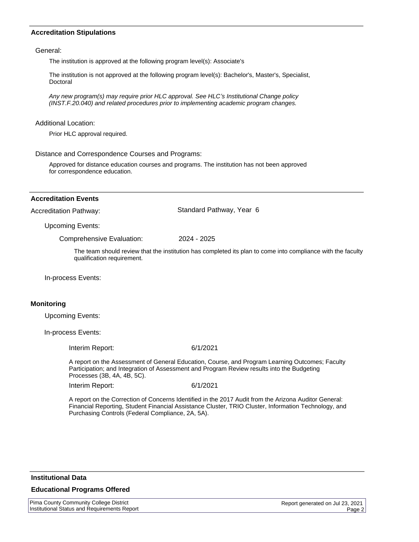# **Accreditation Stipulations**

General:

The institution is approved at the following program level(s): Associate's

The institution is not approved at the following program level(s): Bachelor's, Master's, Specialist, Doctoral

Any new program(s) may require prior HLC approval. See HLC*'*s Institutional Change policy (INST.F.20.040) and related procedures prior to implementing academic program changes.

#### Additional Location:

Prior HLC approval required.

Distance and Correspondence Courses and Programs:

Approved for distance education courses and programs. The institution has not been approved for correspondence education.

#### **Accreditation Events**

Accreditation Pathway: Standard Pathway, Year 6

Upcoming Events:

Comprehensive Evaluation: 2024 - 2025

The team should review that the institution has completed its plan to come into compliance with the faculty qualification requirement.

In-process Events:

# **Monitoring**

Upcoming Events:

In-process Events:

Interim Report: 6/1/2021

A report on the Assessment of General Education, Course, and Program Learning Outcomes; Faculty Participation; and Integration of Assessment and Program Review results into the Budgeting Processes (3B, 4A, 4B, 5C).

Interim Report: 6/1/2021

A report on the Correction of Concerns Identified in the 2017 Audit from the Arizona Auditor General: Financial Reporting, Student Financial Assistance Cluster, TRIO Cluster, Information Technology, and Purchasing Controls (Federal Compliance, 2A, 5A).

#### **Institutional Data**

### **Educational Programs Offered**

Pima County Community College District Institutional Status and Requirements Report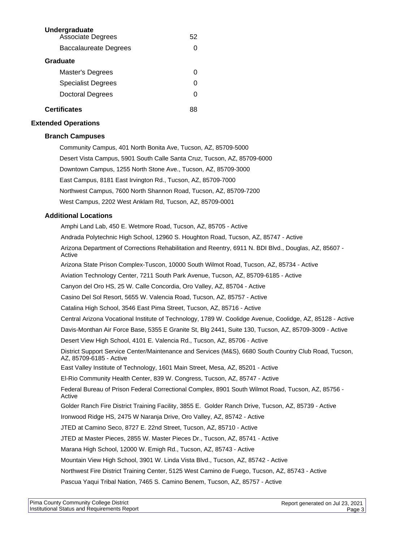| Undergraduate<br><b>Associate Degrees</b> | 52 |
|-------------------------------------------|----|
| Baccalaureate Degrees                     |    |
| Graduate                                  |    |
| Master's Degrees                          |    |
| Specialist Degrees                        | O  |
| <b>Doctoral Degrees</b>                   |    |
| <b>Certificates</b>                       |    |

### **Extended Operations**

# **Branch Campuses**

Community Campus, 401 North Bonita Ave, Tucson, AZ, 85709-5000 Desert Vista Campus, 5901 South Calle Santa Cruz, Tucson, AZ, 85709-6000 Downtown Campus, 1255 North Stone Ave., Tucson, AZ, 85709-3000 East Campus, 8181 East Irvington Rd., Tucson, AZ, 85709-7000 Northwest Campus, 7600 North Shannon Road, Tucson, AZ, 85709-7200 West Campus, 2202 West Anklam Rd, Tucson, AZ, 85709-0001

# **Additional Locations**

Amphi Land Lab, 450 E. Wetmore Road, Tucson, AZ, 85705 - Active Andrada Polytechnic High School, 12960 S. Houghton Road, Tucson, AZ, 85747 - Active Arizona Department of Corrections Rehabilitation and Reentry, 6911 N. BDI Blvd., Douglas, AZ, 85607 - Active Arizona State Prison Complex-Tuscon, 10000 South Wilmot Road, Tucson, AZ, 85734 - Active Aviation Technology Center, 7211 South Park Avenue, Tucson, AZ, 85709-6185 - Active Canyon del Oro HS, 25 W. Calle Concordia, Oro Valley, AZ, 85704 - Active Casino Del Sol Resort, 5655 W. Valencia Road, Tucson, AZ, 85757 - Active Catalina High School, 3546 East Pima Street, Tucson, AZ, 85716 - Active Central Arizona Vocational Institute of Technology, 1789 W. Coolidge Avenue, Coolidge, AZ, 85128 - Active Davis-Monthan Air Force Base, 5355 E Granite St, Blg 2441, Suite 130, Tucson, AZ, 85709-3009 - Active Desert View High School, 4101 E. Valencia Rd., Tucson, AZ, 85706 - Active District Support Service Center/Maintenance and Services (M&S), 6680 South Country Club Road, Tucson, AZ, 85709-6185 - Active East Valley Institute of Technology, 1601 Main Street, Mesa, AZ, 85201 - Active El-Rio Community Health Center, 839 W. Congress, Tucson, AZ, 85747 - Active Federal Bureau of Prison Federal Correctional Complex, 8901 South Wilmot Road, Tucson, AZ, 85756 - Active Golder Ranch Fire District Training Facility, 3855 E. Golder Ranch Drive, Tucson, AZ, 85739 - Active Ironwood Ridge HS, 2475 W Naranja Drive, Oro Valley, AZ, 85742 - Active JTED at Camino Seco, 8727 E. 22nd Street, Tucson, AZ, 85710 - Active JTED at Master Pieces, 2855 W. Master Pieces Dr., Tucson, AZ, 85741 - Active Marana High School, 12000 W. Emigh Rd., Tucson, AZ, 85743 - Active Mountain View High School, 3901 W. Linda Vista Blvd., Tucson, AZ, 85742 - Active Northwest Fire District Training Center, 5125 West Camino de Fuego, Tucson, AZ, 85743 - Active Pascua Yaqui Tribal Nation, 7465 S. Camino Benem, Tucson, AZ, 85757 - Active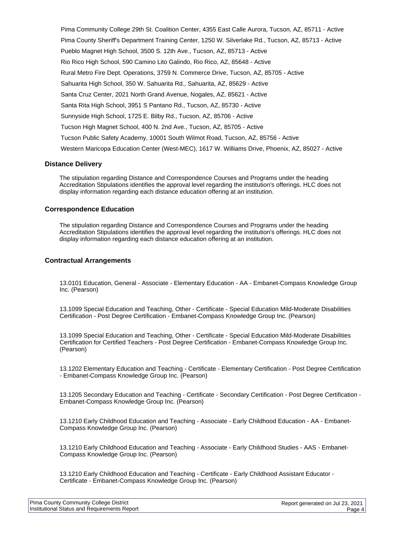Pima Community College 29th St. Coalition Center, 4355 East Calle Aurora, Tucson, AZ, 85711 - Active Pima County Sheriff's Department Training Center, 1250 W. Silverlake Rd., Tucson, AZ, 85713 - Active Pueblo Magnet High School, 3500 S. 12th Ave., Tucson, AZ, 85713 - Active Rio Rico High School, 590 Camino Lito Galindo, Rio Rico, AZ, 85648 - Active Rural Metro Fire Dept. Operations, 3759 N. Commerce Drive, Tucson, AZ, 85705 - Active Sahuarita High School, 350 W. Sahuarita Rd., Sahuarita, AZ, 85629 - Active Santa Cruz Center, 2021 North Grand Avenue, Nogales, AZ, 85621 - Active Santa Rita High School, 3951 S Pantano Rd., Tucson, AZ, 85730 - Active Sunnyside High School, 1725 E. Bilby Rd., Tucson, AZ, 85706 - Active Tucson High Magnet School, 400 N. 2nd Ave., Tucson, AZ, 85705 - Active Tucson Public Safety Academy, 10001 South Wilmot Road, Tucson, AZ, 85756 - Active Western Maricopa Education Center (West-MEC), 1617 W. Williams Drive, Phoenix, AZ, 85027 - Active

#### **Distance Delivery**

The stipulation regarding Distance and Correspondence Courses and Programs under the heading Accreditation Stipulations identifies the approval level regarding the institution's offerings. HLC does not display information regarding each distance education offering at an institution.

#### **Correspondence Education**

The stipulation regarding Distance and Correspondence Courses and Programs under the heading Accreditation Stipulations identifies the approval level regarding the institution's offerings. HLC does not display information regarding each distance education offering at an institution.

#### **Contractual Arrangements**

13.0101 Education, General - Associate - Elementary Education - AA - Embanet-Compass Knowledge Group Inc. (Pearson)

13.1099 Special Education and Teaching, Other - Certificate - Special Education Mild-Moderate Disabilities Certification - Post Degree Certification - Embanet-Compass Knowledge Group Inc. (Pearson)

13.1099 Special Education and Teaching, Other - Certificate - Special Education Mild-Moderate Disabilities Certification for Certified Teachers - Post Degree Certification - Embanet-Compass Knowledge Group Inc. (Pearson)

13.1202 Elementary Education and Teaching - Certificate - Elementary Certification - Post Degree Certification - Embanet-Compass Knowledge Group Inc. (Pearson)

13.1205 Secondary Education and Teaching - Certificate - Secondary Certification - Post Degree Certification - Embanet-Compass Knowledge Group Inc. (Pearson)

13.1210 Early Childhood Education and Teaching - Associate - Early Childhood Education - AA - Embanet-Compass Knowledge Group Inc. (Pearson)

13.1210 Early Childhood Education and Teaching - Associate - Early Childhood Studies - AAS - Embanet-Compass Knowledge Group Inc. (Pearson)

13.1210 Early Childhood Education and Teaching - Certificate - Early Childhood Assistant Educator - Certificate - Embanet-Compass Knowledge Group Inc. (Pearson)

| <b>Pima County Community College District</b> |  |
|-----------------------------------------------|--|
| Institutional Status and Requirements Report  |  |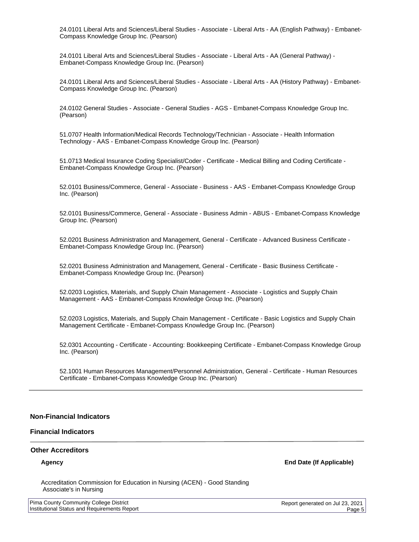24.0101 Liberal Arts and Sciences/Liberal Studies - Associate - Liberal Arts - AA (English Pathway) - Embanet-Compass Knowledge Group Inc. (Pearson)

24.0101 Liberal Arts and Sciences/Liberal Studies - Associate - Liberal Arts - AA (General Pathway) - Embanet-Compass Knowledge Group Inc. (Pearson)

24.0101 Liberal Arts and Sciences/Liberal Studies - Associate - Liberal Arts - AA (History Pathway) - Embanet-Compass Knowledge Group Inc. (Pearson)

24.0102 General Studies - Associate - General Studies - AGS - Embanet-Compass Knowledge Group Inc. (Pearson)

51.0707 Health Information/Medical Records Technology/Technician - Associate - Health Information Technology - AAS - Embanet-Compass Knowledge Group Inc. (Pearson)

51.0713 Medical Insurance Coding Specialist/Coder - Certificate - Medical Billing and Coding Certificate - Embanet-Compass Knowledge Group Inc. (Pearson)

52.0101 Business/Commerce, General - Associate - Business - AAS - Embanet-Compass Knowledge Group Inc. (Pearson)

52.0101 Business/Commerce, General - Associate - Business Admin - ABUS - Embanet-Compass Knowledge Group Inc. (Pearson)

52.0201 Business Administration and Management, General - Certificate - Advanced Business Certificate - Embanet-Compass Knowledge Group Inc. (Pearson)

52.0201 Business Administration and Management, General - Certificate - Basic Business Certificate - Embanet-Compass Knowledge Group Inc. (Pearson)

52.0203 Logistics, Materials, and Supply Chain Management - Associate - Logistics and Supply Chain Management - AAS - Embanet-Compass Knowledge Group Inc. (Pearson)

52.0203 Logistics, Materials, and Supply Chain Management - Certificate - Basic Logistics and Supply Chain Management Certificate - Embanet-Compass Knowledge Group Inc. (Pearson)

52.0301 Accounting - Certificate - Accounting: Bookkeeping Certificate - Embanet-Compass Knowledge Group Inc. (Pearson)

52.1001 Human Resources Management/Personnel Administration, General - Certificate - Human Resources Certificate - Embanet-Compass Knowledge Group Inc. (Pearson)

#### **Non-Financial Indicators**

#### **Financial Indicators**

#### **Other Accreditors**

**Agency End Date (If Applicable)**

Accreditation Commission for Education in Nursing (ACEN) - Good Standing Associate's in Nursing

| <b>Pima County Community College District</b> |
|-----------------------------------------------|
| Institutional Status and Requirements Report  |

Report generated on Jul 23, 2021 Page 5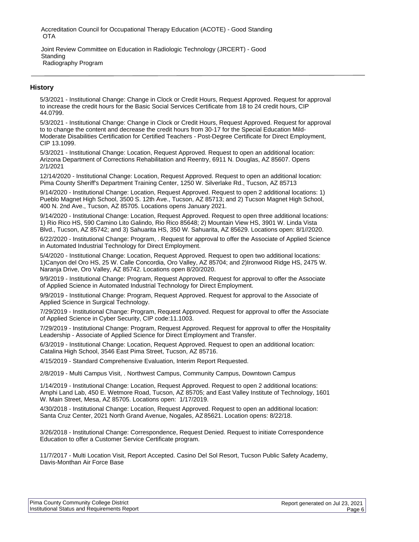Accreditation Council for Occupational Therapy Education (ACOTE) - Good Standing OTA

Joint Review Committee on Education in Radiologic Technology (JRCERT) - Good **Standing** Radiography Program

# **History**

5/3/2021 - Institutional Change: Change in Clock or Credit Hours, Request Approved. Request for approval to increase the credit hours for the Basic Social Services Certificate from 18 to 24 credit hours, CIP 44.0799.

5/3/2021 - Institutional Change: Change in Clock or Credit Hours, Request Approved. Request for approval to to change the content and decrease the credit hours from 30-17 for the Special Education Mild-Moderate Disabilities Certification for Certified Teachers - Post-Degree Certificate for Direct Employment, CIP 13.1099.

5/3/2021 - Institutional Change: Location, Request Approved. Request to open an additional location: Arizona Department of Corrections Rehabilitation and Reentry, 6911 N. Douglas, AZ 85607. Opens 2/1/2021

12/14/2020 - Institutional Change: Location, Request Approved. Request to open an additional location: Pima County Sheriff's Department Training Center, 1250 W. Silverlake Rd., Tucson, AZ 85713

9/14/2020 - Institutional Change: Location, Request Approved. Request to open 2 additional locations: 1) Pueblo Magnet High School, 3500 S. 12th Ave., Tucson, AZ 85713; and 2) Tucson Magnet High School, 400 N. 2nd Ave., Tucson, AZ 85705. Locations opens January 2021.

9/14/2020 - Institutional Change: Location, Request Approved. Request to open three additional locations: 1) Rio Rico HS, 590 Camino Lito Galindo, Rio Rico 85648; 2) Mountain View HS, 3901 W. Linda Vista Blvd., Tucson, AZ 85742; and 3) Sahuarita HS, 350 W. Sahuarita, AZ 85629. Locations open: 8/1//2020.

6/22/2020 - Institutional Change: Program, . Request for approval to offer the Associate of Applied Science in Automated Industrial Technology for Direct Employment.

5/4/2020 - Institutional Change: Location, Request Approved. Request to open two additional locations: 1)Canyon del Oro HS, 25 W. Calle Concordia, Oro Valley, AZ 85704; and 2)Ironwood Ridge HS, 2475 W. Naranja Drive, Oro Valley, AZ 85742. Locations open 8/20/2020.

9/9/2019 - Institutional Change: Program, Request Approved. Request for approval to offer the Associate of Applied Science in Automated Industrial Technology for Direct Employment.

9/9/2019 - Institutional Change: Program, Request Approved. Request for approval to the Associate of Applied Science in Surgical Technology.

7/29/2019 - Institutional Change: Program, Request Approved. Request for approval to offer the Associate of Applied Science in Cyber Security, CIP code:11.1003.

7/29/2019 - Institutional Change: Program, Request Approved. Request for approval to offer the Hospitality Leadership - Associate of Applied Science for Direct Employment and Transfer.

6/3/2019 - Institutional Change: Location, Request Approved. Request to open an additional location: Catalina High School, 3546 East Pima Street, Tucson, AZ 85716.

4/15/2019 - Standard Comprehensive Evaluation, Interim Report Requested.

2/8/2019 - Multi Campus Visit, . Northwest Campus, Community Campus, Downtown Campus

1/14/2019 - Institutional Change: Location, Request Approved. Request to open 2 additional locations: Amphi Land Lab, 450 E. Wetmore Road, Tucson, AZ 85705; and East Valley Institute of Technology, 1601 W. Main Street, Mesa, AZ 85705. Locations open: 1/17/2019.

4/30/2018 - Institutional Change: Location, Request Approved. Request to open an additional location: Santa Cruz Center, 2021 North Grand Avenue, Nogales, AZ 85621. Location opens: 8/22/18.

3/26/2018 - Institutional Change: Correspondence, Request Denied. Request to initiate Correspondence Education to offer a Customer Service Certificate program.

11/7/2017 - Multi Location Visit, Report Accepted. Casino Del Sol Resort, Tucson Public Safety Academy, Davis-Monthan Air Force Base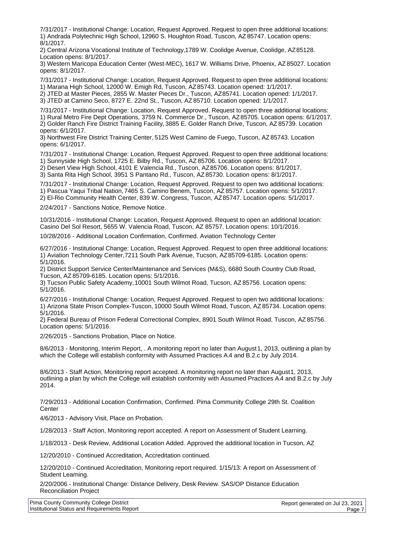7/31/2017 - Institutional Change: Location, Request Approved. Request to open three additional locations: 1) Andrada Polytechnic High School, 12960 S. Houghton Road, Tuscon, AZ 85747. Location opens: 8/1/2017.

2) Central Arizona Vocational Institute of Technology, 1789 W. Coolidge Avenue, Coolidge, AZ 85128. Location opens: 8/1/2017.

3) Western Maricopa Education Center (West-MEC), 1617 W. Williams Drive, Phoenix, AZ 85027. Location opens: 8/1/2017.

7/31/2017 - Institutional Change: Location, Request Approved. Request to open three additional locations: 1) Marana High School, 12000 W. Emigh Rd, Tuscon, AZ 85743. Location opened: 1/1/2017.

2) JTED at Master Pieces, 2855 W. Master Pieces Dr., Tuscon, AZ 85741. Location opened: 1/1/2017.

3) JTED at Camino Seco, 8727 E. 22nd St., Tuscon, AZ 85710. Location opened: 1/1/2017.

7/31/2017 - Institutional Change: Location, Request Approved. Request to open three additional locations: 1) Rural Metro Fire Dept Operations, 3759 N. Commerce Dr., Tuscon, AZ 85705. Location opens: 6/1/2017. 2) Golder Ranch Fire District Training Facility, 3885 E. Golder Ranch Drive, Tuscon, AZ 85739. Location opens: 6/1/2017.

3) Northwest Fire District Training Center, 5125 West Camino de Fuego, Tuscon, AZ 85743. Location opens: 6/1/2017.

7/31/2017 - Institutional Change: Location, Request Approved. Request to open three additional locations:

1) Sunnyside High School, 1725 E. Bilby Rd., Tuscon, AZ 85706. Location opens: 8/1/2017.

2) Desert View High School, 4101 E Valencia Rd., Tuscon, AZ 85706. Location opens: 8/1/2017.

3) Santa Rita High School, 3951 S Pantano Rd., Tuscon, AZ 85730. Location opens: 8/1/2017.

7/31/2017 - Institutional Change: Location, Request Approved. Request to open two additional locations: 1) Pascua Yaqui Tribal Nation, 7465 S. Camino Benem, Tuscon, AZ 85757. Location opens: 5/1/2017. 2) El-Rio Community Health Center, 839 W. Congress, Tuscon, AZ 85747. Location opens: 5/1/2017.

2/24/2017 - Sanctions Notice, Remove Notice.

10/31/2016 - Institutional Change: Location, Request Approved. Request to open an additional location: Casino Del Sol Resort, 5655 W. Valencia Road, Tuscon, AZ 85757. Location opens: 10/1/2016.

10/28/2016 - Additional Location Confirmation, Confirmed. Aviation Technology Center

6/27/2016 - Institutional Change: Location, Request Approved. Request to open three additional locations: 1) Aviation Technology Center, 7211 South Park Avenue, Tucson, AZ 85709-6185. Location opens: 5/1/2016.

2) District Support Service Center/Maintenance and Services (M&S), 6680 South Country Club Road, Tucson, AZ 85709-6185. Location opens: 5/1/2016.

3) Tucson Public Safety Academy, 10001 South Wilmot Road, Tucson, AZ 85756. Location opens: 5/1/2016.

6/27/2016 - Institutional Change: Location, Request Approved. Request to open two additional locations: 1) Arizona State Prison Complex-Tuscon, 10000 South Wilmot Road, Tuscon, AZ 85734. Location opens: 5/1/2016.

2) Federal Bureau of Prison Federal Correctional Complex, 8901 South Wilmot Road, Tuscon, AZ 85756. Location opens: 5/1/2016.

2/26/2015 - Sanctions Probation, Place on Notice.

8/6/2013 - Monitoring, Interim Report, . A monitoring report no later than August 1, 2013, outlining a plan by which the College will establish conformity with Assumed Practices A.4 and B.2.c by July 2014.

8/6/2013 - Staff Action, Monitoring report accepted. A monitoring report no later than August 1, 2013, outlining a plan by which the College will establish conformity with Assumed Practices A.4 and B.2.c by July 2014.

7/29/2013 - Additional Location Confirmation, Confirmed. Pima Community College 29th St. Coalition **Center** 

4/6/2013 - Advisory Visit, Place on Probation.

1/28/2013 - Staff Action, Monitoring report accepted. A report on Assessment of Student Learning.

1/18/2013 - Desk Review, Additional Location Added. Approved the additional location in Tucson, AZ

12/20/2010 - Continued Accreditation, Accreditation continued.

12/20/2010 - Continued Accreditation, Monitoring report required. 1/15/13: A report on Assessment of Student Learning.

2/20/2006 - Institutional Change: Distance Delivery, Desk Review. SAS/OP Distance Education Reconciliation Project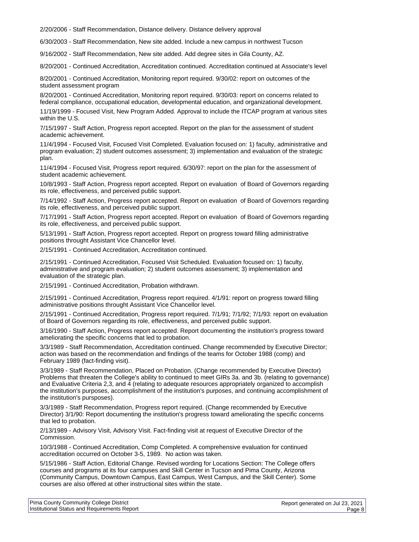2/20/2006 - Staff Recommendation, Distance delivery. Distance delivery approval

6/30/2003 - Staff Recommendation, New site added. Include a new campus in northwest Tucson

9/16/2002 - Staff Recommendation, New site added. Add degree sites in Gila County, AZ.

8/20/2001 - Continued Accreditation, Accreditation continued. Accreditation continued at Associate's level

8/20/2001 - Continued Accreditation, Monitoring report required. 9/30/02: report on outcomes of the student assessment program

8/20/2001 - Continued Accreditation, Monitoring report required. 9/30/03: report on concerns related to federal compliance, occupational education, developmental education, and organizational development.

11/19/1999 - Focused Visit, New Program Added. Approval to include the ITCAP program at various sites within the U.S.

7/15/1997 - Staff Action, Progress report accepted. Report on the plan for the assessment of student academic achievement.

11/4/1994 - Focused Visit, Focused Visit Completed. Evaluation focused on: 1) faculty, administrative and program evaluation; 2) student outcomes assessment; 3) implementation and evaluation of the strategic plan.

11/4/1994 - Focused Visit, Progress report required. 6/30/97: report on the plan for the assessment of student academic achievement.

10/8/1993 - Staff Action, Progress report accepted. Report on evaluation of Board of Governors regarding its role, effectiveness, and perceived public support.

7/14/1992 - Staff Action, Progress report accepted. Report on evaluation of Board of Governors regarding its role, effectiveness, and perceived public support.

7/17/1991 - Staff Action, Progress report accepted. Report on evaluation of Board of Governors regarding its role, effectiveness, and perceived public support.

5/13/1991 - Staff Action, Progress report accepted. Report on progress toward filling administrative positions throught Assistant Vice Chancellor level.

2/15/1991 - Continued Accreditation, Accreditation continued.

2/15/1991 - Continued Accreditation, Focused Visit Scheduled. Evaluation focused on: 1) faculty, administrative and program evaluation; 2) student outcomes assessment; 3) implementation and evaluation of the strategic plan.

2/15/1991 - Continued Accreditation, Probation withdrawn.

2/15/1991 - Continued Accreditation, Progress report required. 4/1/91: report on progress toward filling administrative positions throught Assistant Vice Chancellor level.

2/15/1991 - Continued Accreditation, Progress report required. 7/1/91; 7/1/92; 7/1/93: report on evaluation of Board of Governors regarding its role, effectiveness, and perceived public support.

3/16/1990 - Staff Action, Progress report accepted. Report documenting the institution's progress toward ameliorating the specific concerns that led to probation.

3/3/1989 - Staff Recommendation, Accreditation continued. Change recommended by Executive Director; action was based on the recommendation and findings of the teams for October 1988 (comp) and February 1989 (fact-finding visit).

3/3/1989 - Staff Recommendation, Placed on Probation. (Change recommended by Executive Director) Problems that threaten the College's ability to continued to meet GIRs 3a. and 3b. (relating to governance) and Evaluative Criteria 2,3, and 4 (relating to adequate resources appropriately organized to accomplish the institution's purposes, accomplishment of the institution's purposes, and continuing accomplishment of the institution's pursposes).

3/3/1989 - Staff Recommendation, Progress report required. (Change recommended by Executive Director) 3/1/90: Report documenting the institution's progress toward ameliorating the specific concerns that led to probation.

2/13/1989 - Advisory Visit, Advisory Visit. Fact-finding visit at request of Executive Director of the Commission.

10/3/1988 - Continued Accreditation, Comp Completed. A comprehensive evaluation for continued accreditation occurred on October 3-5, 1989. No action was taken.

5/15/1986 - Staff Action, Editorial Change. Revised wording for Locations Section: The College offers courses and programs at its four campuses and Skill Center in Tucson and Pima County, Arizona (Community Campus, Downtown Campus, East Campus, West Campus, and the Skill Center). Some courses are also offered at other instructional sites within the state.